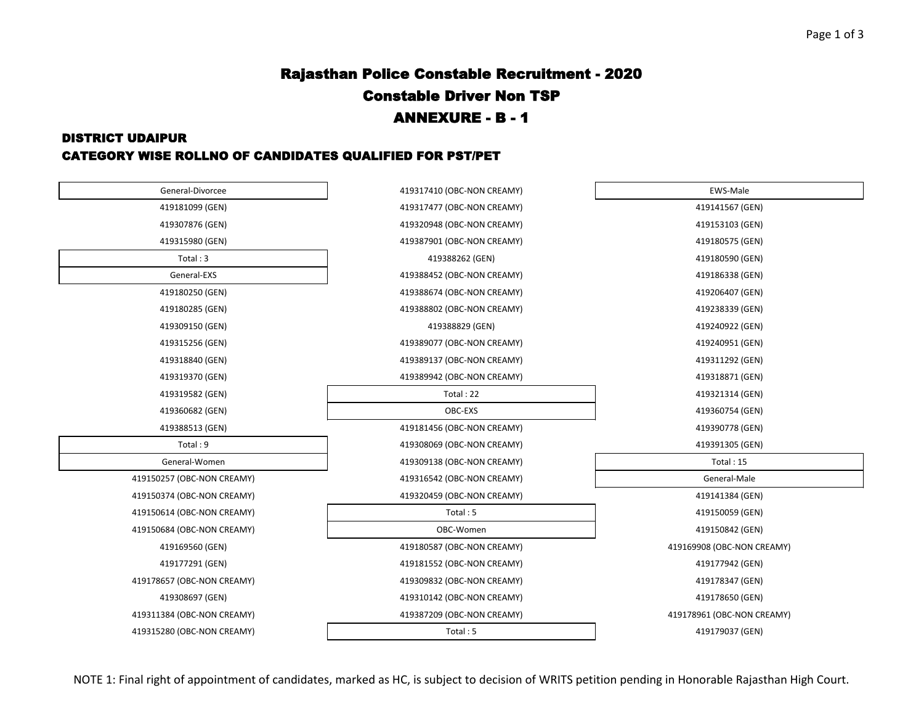# Rajasthan Police Constable Recruitment - 2020 Constable Driver Non TSP ANNEXURE - B - 1

#### DISTRICT UDAIPUR

#### CATEGORY WISE ROLLNO OF CANDIDATES QUALIFIED FOR PST/PET

| General-Divorcee           | 419317410 (OBC-NON CREAMY) | EWS-Male                   |
|----------------------------|----------------------------|----------------------------|
| 419181099 (GEN)            | 419317477 (OBC-NON CREAMY) | 419141567 (GEN)            |
| 419307876 (GEN)            | 419320948 (OBC-NON CREAMY) | 419153103 (GEN)            |
| 419315980 (GEN)            | 419387901 (OBC-NON CREAMY) | 419180575 (GEN)            |
| Total: 3                   | 419388262 (GEN)            | 419180590 (GEN)            |
| General-EXS                | 419388452 (OBC-NON CREAMY) | 419186338 (GEN)            |
| 419180250 (GEN)            | 419388674 (OBC-NON CREAMY) | 419206407 (GEN)            |
| 419180285 (GEN)            | 419388802 (OBC-NON CREAMY) | 419238339 (GEN)            |
| 419309150 (GEN)            | 419388829 (GEN)            | 419240922 (GEN)            |
| 419315256 (GEN)            | 419389077 (OBC-NON CREAMY) | 419240951 (GEN)            |
| 419318840 (GEN)            | 419389137 (OBC-NON CREAMY) | 419311292 (GEN)            |
| 419319370 (GEN)            | 419389942 (OBC-NON CREAMY) | 419318871 (GEN)            |
| 419319582 (GEN)            | Total: 22                  | 419321314 (GEN)            |
| 419360682 (GEN)            | OBC-EXS                    | 419360754 (GEN)            |
| 419388513 (GEN)            | 419181456 (OBC-NON CREAMY) | 419390778 (GEN)            |
| Total: 9                   | 419308069 (OBC-NON CREAMY) | 419391305 (GEN)            |
| General-Women              | 419309138 (OBC-NON CREAMY) | Total: 15                  |
| 419150257 (OBC-NON CREAMY) | 419316542 (OBC-NON CREAMY) | General-Male               |
| 419150374 (OBC-NON CREAMY) | 419320459 (OBC-NON CREAMY) | 419141384 (GEN)            |
| 419150614 (OBC-NON CREAMY) | Total: 5                   | 419150059 (GEN)            |
| 419150684 (OBC-NON CREAMY) | OBC-Women                  | 419150842 (GEN)            |
| 419169560 (GEN)            | 419180587 (OBC-NON CREAMY) | 419169908 (OBC-NON CREAMY) |
| 419177291 (GEN)            | 419181552 (OBC-NON CREAMY) | 419177942 (GEN)            |
| 419178657 (OBC-NON CREAMY) | 419309832 (OBC-NON CREAMY) | 419178347 (GEN)            |
| 419308697 (GEN)            | 419310142 (OBC-NON CREAMY) | 419178650 (GEN)            |
| 419311384 (OBC-NON CREAMY) | 419387209 (OBC-NON CREAMY) | 419178961 (OBC-NON CREAMY) |
| 419315280 (OBC-NON CREAMY) | Total: 5                   | 419179037 (GEN)            |
|                            |                            |                            |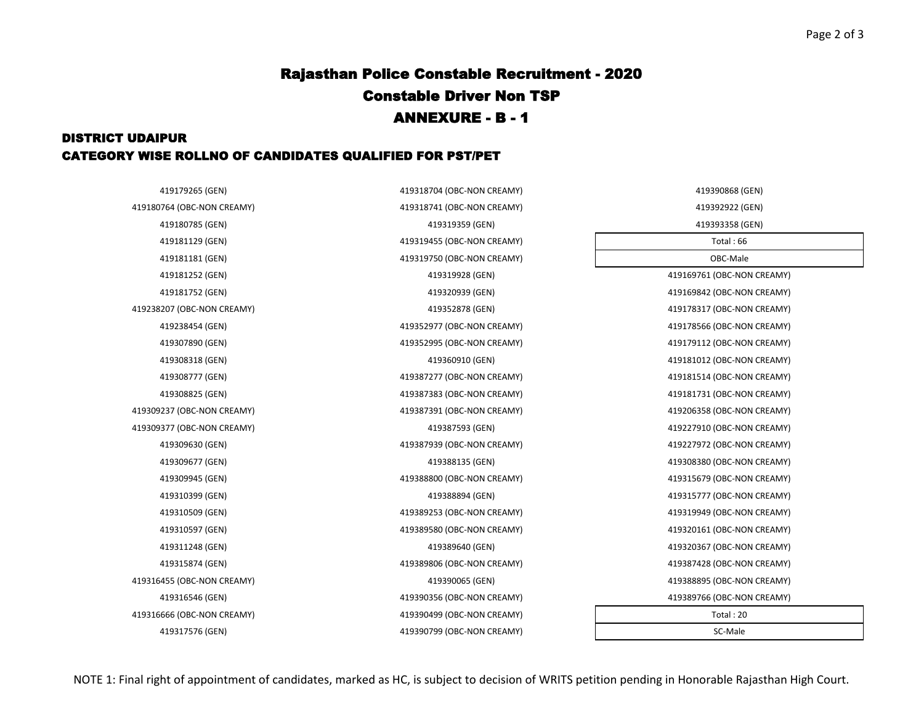# Rajasthan Police Constable Recruitment - 2020 Constable Driver Non TSP ANNEXURE - B - 1

### DISTRICT UDAIPUR CATEGORY WISE ROLLNO OF CANDIDATES QUALIFIED FOR PST/PET

| 419179265 (GEN)      | 419318704 (OBC-NON CREAMY) | 419390868 (GEN)            |
|----------------------|----------------------------|----------------------------|
| 764 (OBC-NON CREAMY) | 419318741 (OBC-NON CREAMY) | 419392922 (GEN)            |
| 419180785 (GEN)      | 419319359 (GEN)            | 419393358 (GEN)            |
| 419181129 (GEN)      | 419319455 (OBC-NON CREAMY) | Total: 66                  |
| 419181181 (GEN)      | 419319750 (OBC-NON CREAMY) | OBC-Male                   |
| 419181252 (GEN)      | 419319928 (GEN)            | 419169761 (OBC-NON CREAMY) |
| 419181752 (GEN)      | 419320939 (GEN)            | 419169842 (OBC-NON CREAMY) |
| 207 (OBC-NON CREAMY) | 419352878 (GEN)            | 419178317 (OBC-NON CREAMY) |
| 419238454 (GEN)      | 419352977 (OBC-NON CREAMY) | 419178566 (OBC-NON CREAMY) |
| 419307890 (GEN)      | 419352995 (OBC-NON CREAMY) | 419179112 (OBC-NON CREAMY) |
| 419308318 (GEN)      | 419360910 (GEN)            | 419181012 (OBC-NON CREAMY) |
| 419308777 (GEN)      | 419387277 (OBC-NON CREAMY) | 419181514 (OBC-NON CREAMY) |
| 419308825 (GEN)      | 419387383 (OBC-NON CREAMY) | 419181731 (OBC-NON CREAMY) |
| 237 (OBC-NON CREAMY) | 419387391 (OBC-NON CREAMY) | 419206358 (OBC-NON CREAMY) |
| 377 (OBC-NON CREAMY) | 419387593 (GEN)            | 419227910 (OBC-NON CREAMY) |
| 419309630 (GEN)      | 419387939 (OBC-NON CREAMY) | 419227972 (OBC-NON CREAMY) |
| 419309677 (GEN)      | 419388135 (GEN)            | 419308380 (OBC-NON CREAMY) |
| 419309945 (GEN)      | 419388800 (OBC-NON CREAMY) | 419315679 (OBC-NON CREAMY) |
| 419310399 (GEN)      | 419388894 (GEN)            | 419315777 (OBC-NON CREAMY) |
| 419310509 (GEN)      | 419389253 (OBC-NON CREAMY) | 419319949 (OBC-NON CREAMY) |
| 419310597 (GEN)      | 419389580 (OBC-NON CREAMY) | 419320161 (OBC-NON CREAMY) |
| 419311248 (GEN)      | 419389640 (GEN)            | 419320367 (OBC-NON CREAMY) |
| 419315874 (GEN)      | 419389806 (OBC-NON CREAMY) | 419387428 (OBC-NON CREAMY) |
| 455 (OBC-NON CREAMY) | 419390065 (GEN)            | 419388895 (OBC-NON CREAMY) |
| 419316546 (GEN)      | 419390356 (OBC-NON CREAMY) | 419389766 (OBC-NON CREAMY) |
| 666 (OBC-NON CREAMY) | 419390499 (OBC-NON CREAMY) | Total: 20                  |
| 419317576 (GEN)      | 419390799 (OBC-NON CREAMY) | SC-Male                    |

419180764 (OBC-NON CREAMY) 419318741 (OBC-NON CREAMY) 419181752 (GEN) 419320939 (GEN) 419238207 (OBC-NON CREAMY) 419352878 (GEN) 419309237 (OBC-NON CREAMY) 419387391 (OBC-NON CREAMY) 419206358 (OBC-NON CREAMY) 419309377 (OBC-NON CREAMY) 419387593 (GEN) 419227910 (OBC-NON CREAMY) 419316455 (OBC-NON CREAMY) 419390065 (GEN) 419388895 (OBC-NON CREAMY) 419316666 (OBC-NON CREAMY) 419390499 (OBC-NON CREAMY)